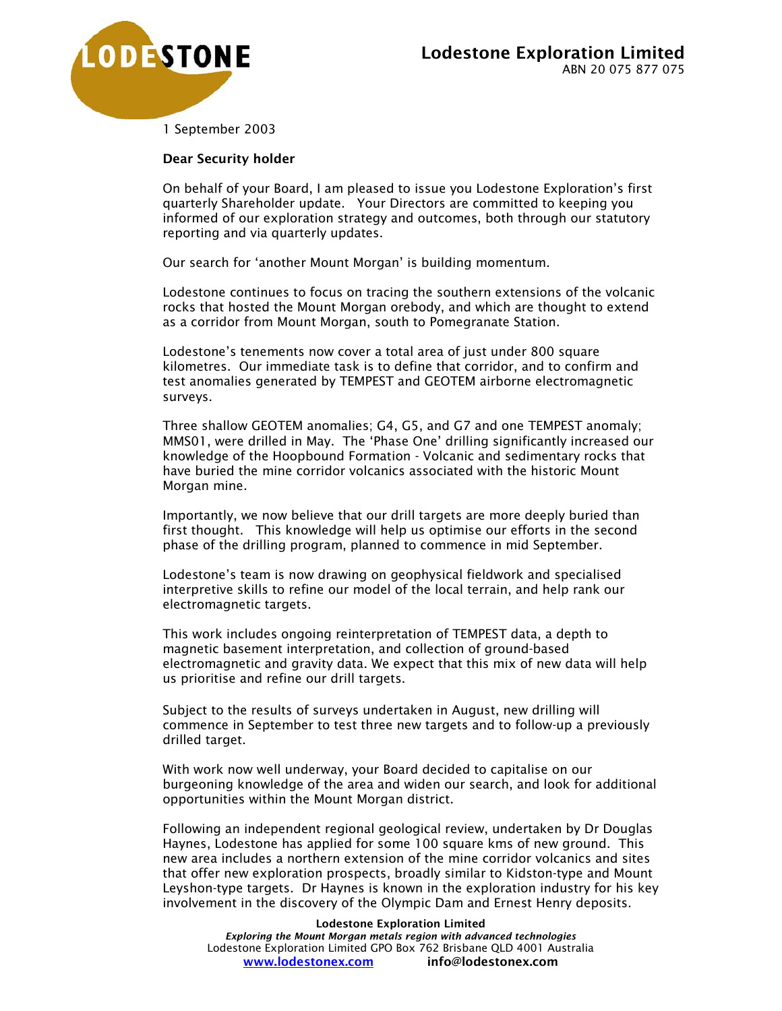

1 September 2003

## Dear Security holder

On behalf of your Board, I am pleased to issue you Lodestone Exploration's first quarterly Shareholder update. Your Directors are committed to keeping you informed of our exploration strategy and outcomes, both through our statutory reporting and via quarterly updates.

Our search for 'another Mount Morgan' is building momentum.

Lodestone continues to focus on tracing the southern extensions of the volcanic rocks that hosted the Mount Morgan orebody, and which are thought to extend as a corridor from Mount Morgan, south to Pomegranate Station.

Lodestone's tenements now cover a total area of just under 800 square kilometres. Our immediate task is to define that corridor, and to confirm and test anomalies generated by TEMPEST and GEOTEM airborne electromagnetic surveys.

Three shallow GEOTEM anomalies; G4, G5, and G7 and one TEMPEST anomaly; MMS01, were drilled in May. The 'Phase One' drilling significantly increased our knowledge of the Hoopbound Formation - Volcanic and sedimentary rocks that have buried the mine corridor volcanics associated with the historic Mount Morgan mine.

Importantly, we now believe that our drill targets are more deeply buried than first thought. This knowledge will help us optimise our efforts in the second phase of the drilling program, planned to commence in mid September.

Lodestone's team is now drawing on geophysical fieldwork and specialised interpretive skills to refine our model of the local terrain, and help rank our electromagnetic targets.

This work includes ongoing reinterpretation of TEMPEST data, a depth to magnetic basement interpretation, and collection of ground-based electromagnetic and gravity data. We expect that this mix of new data will help us prioritise and refine our drill targets.

Subject to the results of surveys undertaken in August, new drilling will commence in September to test three new targets and to follow-up a previously drilled target.

With work now well underway, your Board decided to capitalise on our burgeoning knowledge of the area and widen our search, and look for additional opportunities within the Mount Morgan district.

Following an independent regional geological review, undertaken by Dr Douglas Haynes, Lodestone has applied for some 100 square kms of new ground. This new area includes a northern extension of the mine corridor volcanics and sites that offer new exploration prospects, broadly similar to Kidston-type and Mount Leyshon-type targets. Dr Haynes is known in the exploration industry for his key involvement in the discovery of the Olympic Dam and Ernest Henry deposits.

Lodestone Exploration Limited *Exploring the Mount Morgan metals region with advanced technologies* Lodestone Exploration Limited GPO Box 762 Brisbane QLD 4001 Australia www.lodestonex.com info@lodestonex.com